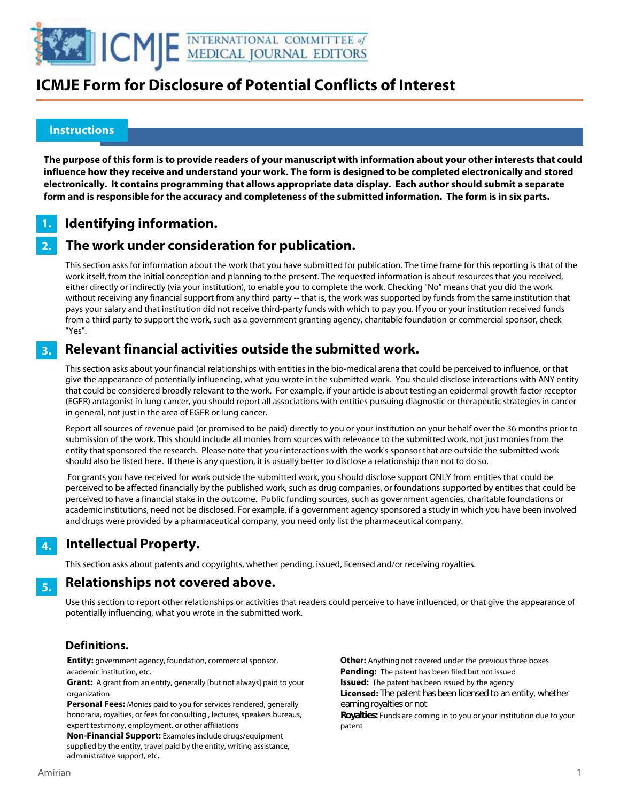

### **Instructions**

l

**The purpose of this form is to provide readers of your manuscript with information about your other interests that could influence how they receive and understand your work. The form is designed to be completed electronically and stored electronically. It contains programming that allows appropriate data display. Each author should submit a separate form and is responsible for the accuracy and completeness of the submitted information. The form is in six parts.** 

#### **Identifying information. 1.**

#### **The work under consideration for publication. 2.**

This section asks for information about the work that you have submitted for publication. The time frame for this reporting is that of the work itself, from the initial conception and planning to the present. The requested information is about resources that you received, either directly or indirectly (via your institution), to enable you to complete the work. Checking "No" means that you did the work without receiving any financial support from any third party -- that is, the work was supported by funds from the same institution that pays your salary and that institution did not receive third-party funds with which to pay you. If you or your institution received funds from a third party to support the work, such as a government granting agency, charitable foundation or commercial sponsor, check "Yes".

#### **Relevant financial activities outside the submitted work. 3.**

This section asks about your financial relationships with entities in the bio-medical arena that could be perceived to influence, or that give the appearance of potentially influencing, what you wrote in the submitted work. You should disclose interactions with ANY entity that could be considered broadly relevant to the work. For example, if your article is about testing an epidermal growth factor receptor (EGFR) antagonist in lung cancer, you should report all associations with entities pursuing diagnostic or therapeutic strategies in cancer in general, not just in the area of EGFR or lung cancer.

Report all sources of revenue paid (or promised to be paid) directly to you or your institution on your behalf over the 36 months prior to submission of the work. This should include all monies from sources with relevance to the submitted work, not just monies from the entity that sponsored the research. Please note that your interactions with the work's sponsor that are outside the submitted work should also be listed here. If there is any question, it is usually better to disclose a relationship than not to do so.

 For grants you have received for work outside the submitted work, you should disclose support ONLY from entities that could be perceived to be affected financially by the published work, such as drug companies, or foundations supported by entities that could be perceived to have a financial stake in the outcome. Public funding sources, such as government agencies, charitable foundations or academic institutions, need not be disclosed. For example, if a government agency sponsored a study in which you have been involved and drugs were provided by a pharmaceutical company, you need only list the pharmaceutical company.

#### **Intellectual Property. 4.**

This section asks about patents and copyrights, whether pending, issued, licensed and/or receiving royalties.

#### **Relationships not covered above. 5.**

Use this section to report other relationships or activities that readers could perceive to have influenced, or that give the appearance of potentially influencing, what you wrote in the submitted work.

### **Definitions.**

**Entity:** government agency, foundation, commercial sponsor, academic institution, etc.

**Grant:** A grant from an entity, generally [but not always] paid to your organization

**Personal Fees:** Monies paid to you for services rendered, generally honoraria, royalties, or fees for consulting , lectures, speakers bureaus, expert testimony, employment, or other affiliations

**Non-Financial Support:** Examples include drugs/equipment supplied by the entity, travel paid by the entity, writing assistance, administrative support, etc**.**

**Other:** Anything not covered under the previous three boxes **Pending:** The patent has been filed but not issued **Issued:** The patent has been issued by the agency **Licensed:** The patent has been licensed to an entity, whether earning royalties or not **Royalties:** Funds are coming in to you or your institution due to your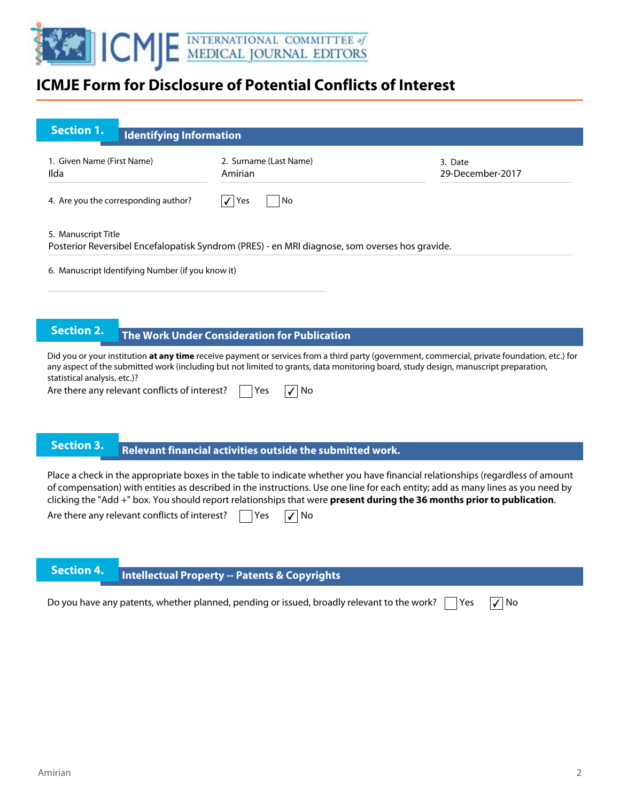

| <b>Section 1.</b><br><b>Identifying Information</b> |                                                                                                                                                                                                                                                                                                                                                                                                          |                             |
|-----------------------------------------------------|----------------------------------------------------------------------------------------------------------------------------------------------------------------------------------------------------------------------------------------------------------------------------------------------------------------------------------------------------------------------------------------------------------|-----------------------------|
| 1. Given Name (First Name)<br>Ilda                  | 2. Surname (Last Name)<br>Amirian                                                                                                                                                                                                                                                                                                                                                                        | 3. Date<br>29-December-2017 |
| 4. Are you the corresponding author?                | No<br>Yes                                                                                                                                                                                                                                                                                                                                                                                                |                             |
| 5. Manuscript Title                                 | Posterior Reversibel Encefalopatisk Syndrom (PRES) - en MRI diagnose, som overses hos gravide.                                                                                                                                                                                                                                                                                                           |                             |
| 6. Manuscript Identifying Number (if you know it)   |                                                                                                                                                                                                                                                                                                                                                                                                          |                             |
|                                                     |                                                                                                                                                                                                                                                                                                                                                                                                          |                             |
| <b>Section 2.</b>                                   | <b>The Work Under Consideration for Publication</b>                                                                                                                                                                                                                                                                                                                                                      |                             |
| statistical analysis, etc.)?                        | Did you or your institution at any time receive payment or services from a third party (government, commercial, private foundation, etc.) for<br>any aspect of the submitted work (including but not limited to grants, data monitoring board, study design, manuscript preparation,                                                                                                                     |                             |
| Are there any relevant conflicts of interest?       | No<br>Yes                                                                                                                                                                                                                                                                                                                                                                                                |                             |
|                                                     |                                                                                                                                                                                                                                                                                                                                                                                                          |                             |
| <b>Section 3.</b>                                   | Relevant financial activities outside the submitted work.                                                                                                                                                                                                                                                                                                                                                |                             |
| Are there any relevant conflicts of interest?       | Place a check in the appropriate boxes in the table to indicate whether you have financial relationships (regardless of amount<br>of compensation) with entities as described in the instructions. Use one line for each entity; add as many lines as you need by<br>clicking the "Add +" box. You should report relationships that were present during the 36 months prior to publication.<br>No<br>Yes |                             |

**Intellectual Property -- Patents & Copyrights**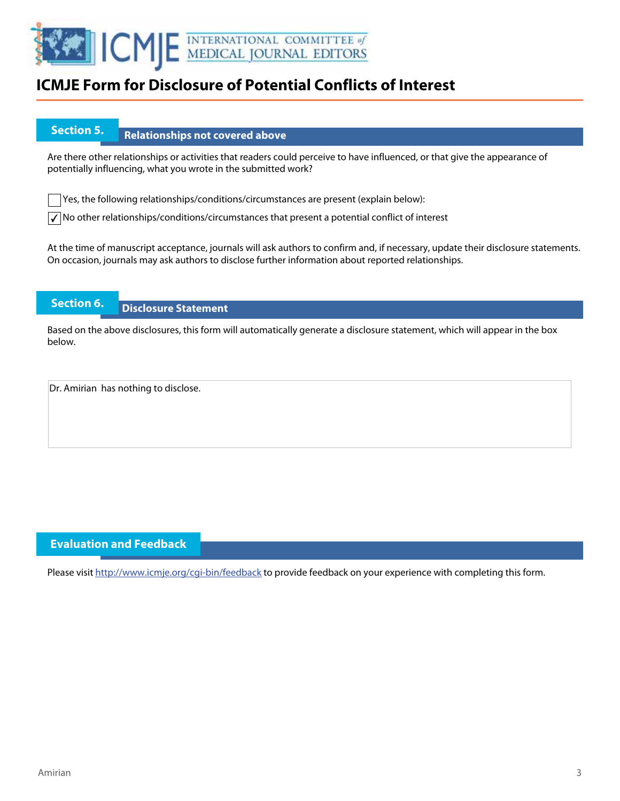

## **Section 5.** Relationships not covered above

Are there other relationships or activities that readers could perceive to have influenced, or that give the appearance of potentially influencing, what you wrote in the submitted work?

Yes, the following relationships/conditions/circumstances are present (explain below):

 $\sqrt{\ }$  No other relationships/conditions/circumstances that present a potential conflict of interest

At the time of manuscript acceptance, journals will ask authors to confirm and, if necessary, update their disclosure statements. On occasion, journals may ask authors to disclose further information about reported relationships.

### **Section 6. Disclosure Statement**

Based on the above disclosures, this form will automatically generate a disclosure statement, which will appear in the box below.

Dr. Amirian has nothing to disclose.

### **Evaluation and Feedback**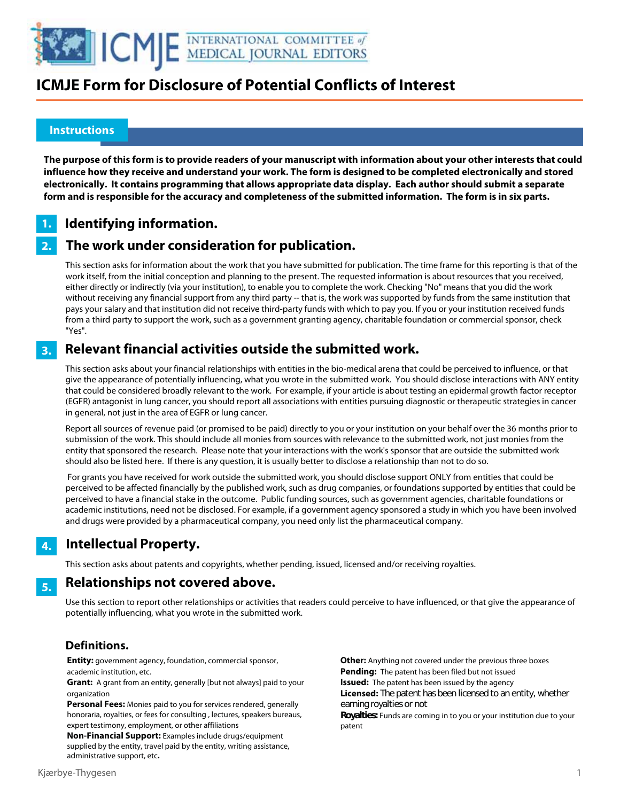

### **Instructions**

l

**The purpose of this form is to provide readers of your manuscript with information about your other interests that could influence how they receive and understand your work. The form is designed to be completed electronically and stored electronically. It contains programming that allows appropriate data display. Each author should submit a separate form and is responsible for the accuracy and completeness of the submitted information. The form is in six parts.** 

#### **Identifying information. 1.**

#### **The work under consideration for publication. 2.**

This section asks for information about the work that you have submitted for publication. The time frame for this reporting is that of the work itself, from the initial conception and planning to the present. The requested information is about resources that you received, either directly or indirectly (via your institution), to enable you to complete the work. Checking "No" means that you did the work without receiving any financial support from any third party -- that is, the work was supported by funds from the same institution that pays your salary and that institution did not receive third-party funds with which to pay you. If you or your institution received funds from a third party to support the work, such as a government granting agency, charitable foundation or commercial sponsor, check "Yes".

#### **Relevant financial activities outside the submitted work. 3.**

This section asks about your financial relationships with entities in the bio-medical arena that could be perceived to influence, or that give the appearance of potentially influencing, what you wrote in the submitted work. You should disclose interactions with ANY entity that could be considered broadly relevant to the work. For example, if your article is about testing an epidermal growth factor receptor (EGFR) antagonist in lung cancer, you should report all associations with entities pursuing diagnostic or therapeutic strategies in cancer in general, not just in the area of EGFR or lung cancer.

Report all sources of revenue paid (or promised to be paid) directly to you or your institution on your behalf over the 36 months prior to submission of the work. This should include all monies from sources with relevance to the submitted work, not just monies from the entity that sponsored the research. Please note that your interactions with the work's sponsor that are outside the submitted work should also be listed here. If there is any question, it is usually better to disclose a relationship than not to do so.

 For grants you have received for work outside the submitted work, you should disclose support ONLY from entities that could be perceived to be affected financially by the published work, such as drug companies, or foundations supported by entities that could be perceived to have a financial stake in the outcome. Public funding sources, such as government agencies, charitable foundations or academic institutions, need not be disclosed. For example, if a government agency sponsored a study in which you have been involved and drugs were provided by a pharmaceutical company, you need only list the pharmaceutical company.

#### **Intellectual Property. 4.**

This section asks about patents and copyrights, whether pending, issued, licensed and/or receiving royalties.

#### **Relationships not covered above. 5.**

Use this section to report other relationships or activities that readers could perceive to have influenced, or that give the appearance of potentially influencing, what you wrote in the submitted work.

### **Definitions.**

**Entity:** government agency, foundation, commercial sponsor, academic institution, etc.

**Grant:** A grant from an entity, generally [but not always] paid to your organization

**Personal Fees:** Monies paid to you for services rendered, generally honoraria, royalties, or fees for consulting , lectures, speakers bureaus, expert testimony, employment, or other affiliations

**Non-Financial Support:** Examples include drugs/equipment supplied by the entity, travel paid by the entity, writing assistance, administrative support, etc**.**

**Other:** Anything not covered under the previous three boxes **Pending:** The patent has been filed but not issued **Issued:** The patent has been issued by the agency **Licensed:** The patent has been licensed to an entity, whether earning royalties or not

**Royalties:** Funds are coming in to you or your institution due to your patent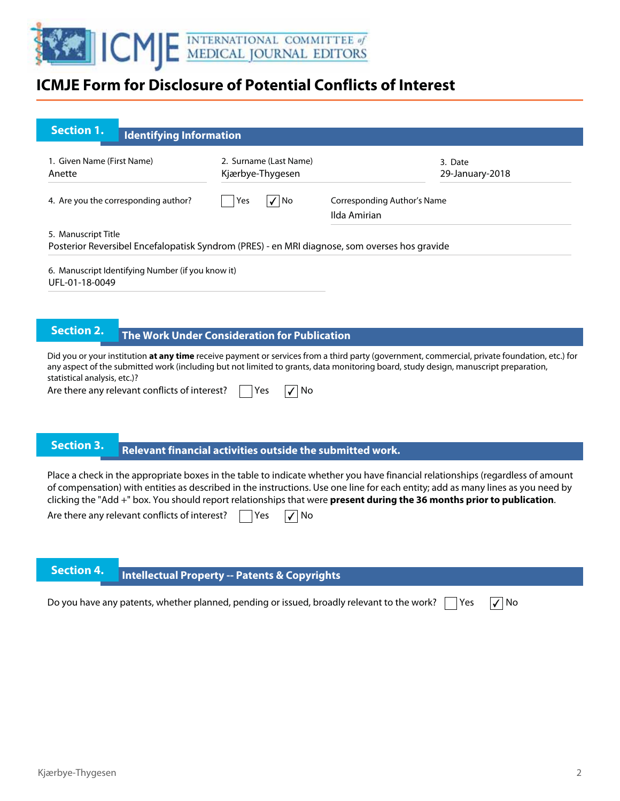

| <b>Section 1.</b>                    |                                                   |                                              |                                                                                                                                     |                                                                                                                                               |
|--------------------------------------|---------------------------------------------------|----------------------------------------------|-------------------------------------------------------------------------------------------------------------------------------------|-----------------------------------------------------------------------------------------------------------------------------------------------|
|                                      | <b>Identifying Information</b>                    |                                              |                                                                                                                                     |                                                                                                                                               |
| 1. Given Name (First Name)<br>Anette |                                                   | 2. Surname (Last Name)<br>Kjærbye-Thygesen   |                                                                                                                                     | 3. Date<br>29-January-2018                                                                                                                    |
|                                      | 4. Are you the corresponding author?              | Yes<br>$\sqrt{ N_{0} }$                      | Corresponding Author's Name<br>Ilda Amirian                                                                                         |                                                                                                                                               |
| 5. Manuscript Title                  |                                                   |                                              | Posterior Reversibel Encefalopatisk Syndrom (PRES) - en MRI diagnose, som overses hos gravide                                       |                                                                                                                                               |
| UFL-01-18-0049                       | 6. Manuscript Identifying Number (if you know it) |                                              |                                                                                                                                     |                                                                                                                                               |
|                                      |                                                   |                                              |                                                                                                                                     |                                                                                                                                               |
| <b>Section 2.</b>                    |                                                   | The Work Under Consideration for Publication |                                                                                                                                     |                                                                                                                                               |
| statistical analysis, etc.)?         |                                                   |                                              | any aspect of the submitted work (including but not limited to grants, data monitoring board, study design, manuscript preparation, | Did you or your institution at any time receive payment or services from a third party (government, commercial, private foundation, etc.) for |
|                                      | Are there any relevant conflicts of interest?     | No<br>Yes.<br>$\checkmark$                   |                                                                                                                                     |                                                                                                                                               |

## **Relevant financial activities outside the submitted work. Section 3. Relevant financial activities outset**

Place a check in the appropriate boxes in the table to indicate whether you have financial relationships (regardless of amount of compensation) with entities as described in the instructions. Use one line for each entity; add as many lines as you need by clicking the "Add +" box. You should report relationships that were **present during the 36 months prior to publication**.

| Are there any relevant conflicts of interest? | <b>Yes</b> | $\sqrt{}$ No |
|-----------------------------------------------|------------|--------------|
|                                               |            |              |

# **Intellectual Property -- Patents & Copyrights**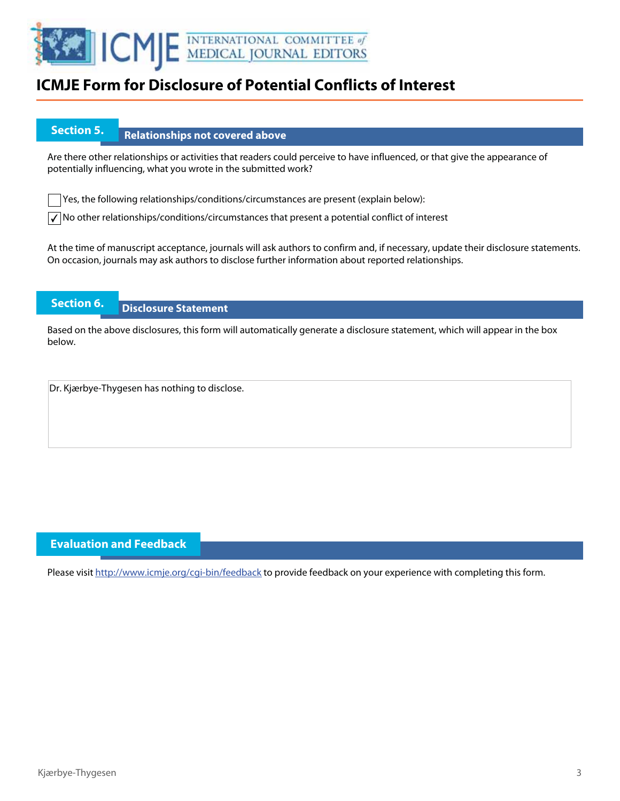

## **Section 5.** Relationships not covered above

Are there other relationships or activities that readers could perceive to have influenced, or that give the appearance of potentially influencing, what you wrote in the submitted work?

Yes, the following relationships/conditions/circumstances are present (explain below):

 $\sqrt{\sqrt{}}$  No other relationships/conditions/circumstances that present a potential conflict of interest

At the time of manuscript acceptance, journals will ask authors to confirm and, if necessary, update their disclosure statements. On occasion, journals may ask authors to disclose further information about reported relationships.

### **Section 6. Disclosure Statement**

Based on the above disclosures, this form will automatically generate a disclosure statement, which will appear in the box below.

Dr. Kjærbye-Thygesen has nothing to disclose.

### **Evaluation and Feedback**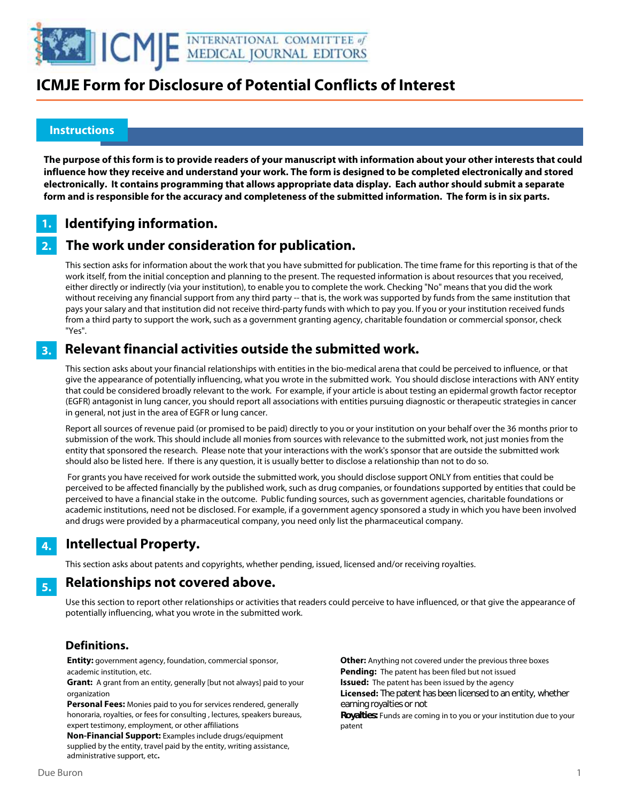

### **Instructions**

l

**The purpose of this form is to provide readers of your manuscript with information about your other interests that could influence how they receive and understand your work. The form is designed to be completed electronically and stored electronically. It contains programming that allows appropriate data display. Each author should submit a separate form and is responsible for the accuracy and completeness of the submitted information. The form is in six parts.** 

#### **Identifying information. 1.**

#### **The work under consideration for publication. 2.**

This section asks for information about the work that you have submitted for publication. The time frame for this reporting is that of the work itself, from the initial conception and planning to the present. The requested information is about resources that you received, either directly or indirectly (via your institution), to enable you to complete the work. Checking "No" means that you did the work without receiving any financial support from any third party -- that is, the work was supported by funds from the same institution that pays your salary and that institution did not receive third-party funds with which to pay you. If you or your institution received funds from a third party to support the work, such as a government granting agency, charitable foundation or commercial sponsor, check "Yes".

#### **Relevant financial activities outside the submitted work. 3.**

This section asks about your financial relationships with entities in the bio-medical arena that could be perceived to influence, or that give the appearance of potentially influencing, what you wrote in the submitted work. You should disclose interactions with ANY entity that could be considered broadly relevant to the work. For example, if your article is about testing an epidermal growth factor receptor (EGFR) antagonist in lung cancer, you should report all associations with entities pursuing diagnostic or therapeutic strategies in cancer in general, not just in the area of EGFR or lung cancer.

Report all sources of revenue paid (or promised to be paid) directly to you or your institution on your behalf over the 36 months prior to submission of the work. This should include all monies from sources with relevance to the submitted work, not just monies from the entity that sponsored the research. Please note that your interactions with the work's sponsor that are outside the submitted work should also be listed here. If there is any question, it is usually better to disclose a relationship than not to do so.

 For grants you have received for work outside the submitted work, you should disclose support ONLY from entities that could be perceived to be affected financially by the published work, such as drug companies, or foundations supported by entities that could be perceived to have a financial stake in the outcome. Public funding sources, such as government agencies, charitable foundations or academic institutions, need not be disclosed. For example, if a government agency sponsored a study in which you have been involved and drugs were provided by a pharmaceutical company, you need only list the pharmaceutical company.

#### **Intellectual Property. 4.**

This section asks about patents and copyrights, whether pending, issued, licensed and/or receiving royalties.

#### **Relationships not covered above. 5.**

Use this section to report other relationships or activities that readers could perceive to have influenced, or that give the appearance of potentially influencing, what you wrote in the submitted work.

### **Definitions.**

**Entity:** government agency, foundation, commercial sponsor, academic institution, etc.

**Grant:** A grant from an entity, generally [but not always] paid to your organization

**Personal Fees:** Monies paid to you for services rendered, generally honoraria, royalties, or fees for consulting , lectures, speakers bureaus, expert testimony, employment, or other affiliations

**Non-Financial Support:** Examples include drugs/equipment supplied by the entity, travel paid by the entity, writing assistance, administrative support, etc**.**

**Other:** Anything not covered under the previous three boxes **Pending:** The patent has been filed but not issued **Issued:** The patent has been issued by the agency **Licensed:** The patent has been licensed to an entity, whether earning royalties or not **Royalties:** Funds are coming in to you or your institution due to your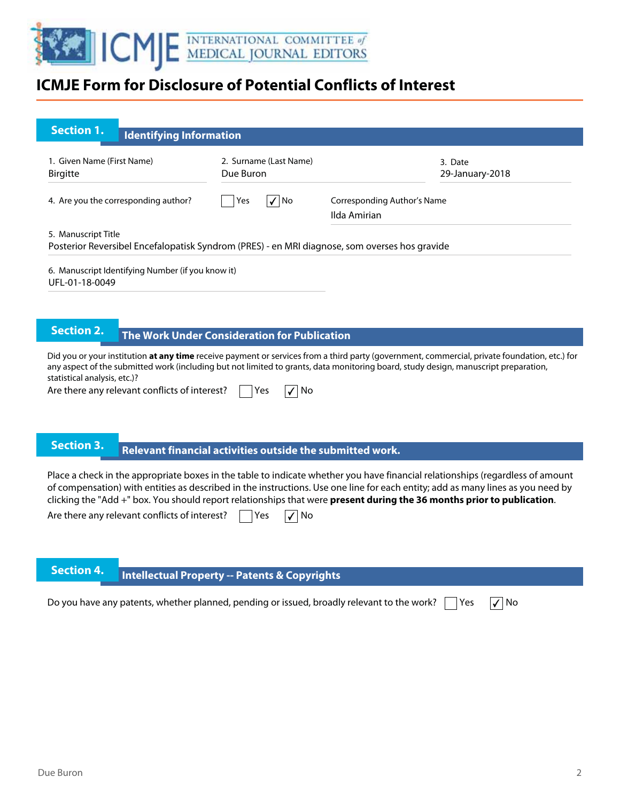

| 1. Given Name (First Name)<br><b>Birgitte</b>                                                                        | 2. Surname (Last Name)<br>Due Buron | 3. Date<br>29-January-2018                  |
|----------------------------------------------------------------------------------------------------------------------|-------------------------------------|---------------------------------------------|
| 4. Are you the corresponding author?                                                                                 | $\sqrt{ N_{0} }$<br>Yes             | Corresponding Author's Name<br>Ilda Amirian |
| 5. Manuscript Title<br>Posterior Reversibel Encefalopatisk Syndrom (PRES) - en MRI diagnose, som overses hos gravide |                                     |                                             |
|                                                                                                                      |                                     |                                             |
| UFL-01-18-0049                                                                                                       |                                     |                                             |
| 6. Manuscript Identifying Number (if you know it)<br><b>Section 2.</b>                                               |                                     |                                             |

Did you or your institution **at any time** receive payment or services from a third party (government, commercial, private foundation, etc.) for any aspect of the submitted work (including but not limited to grants, data monitoring board, study design, manuscript preparation, statistical analysis, etc.)?

 $\sqrt{\phantom{a}}$  No

| Are there any relevant conflicts of interest? |  | Yes |
|-----------------------------------------------|--|-----|
|-----------------------------------------------|--|-----|

## **Relevant financial activities outside the submitted work. Section 3. Relevant financial activities outset**

Place a check in the appropriate boxes in the table to indicate whether you have financial relationships (regardless of amount of compensation) with entities as described in the instructions. Use one line for each entity; add as many lines as you need by clicking the "Add +" box. You should report relationships that were **present during the 36 months prior to publication**.

| Are there any relevant conflicts of interest? | <b>Yes</b> | $\sqrt{}$ No |
|-----------------------------------------------|------------|--------------|
|                                               |            |              |

# **Intellectual Property -- Patents & Copyrights**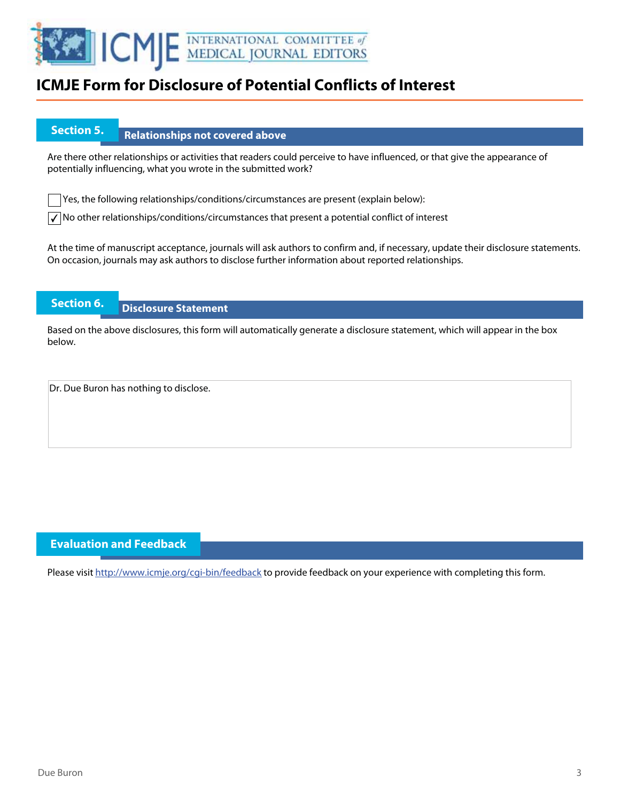

## **Section 5.** Relationships not covered above

Are there other relationships or activities that readers could perceive to have influenced, or that give the appearance of potentially influencing, what you wrote in the submitted work?

Yes, the following relationships/conditions/circumstances are present (explain below):

 $\sqrt{\ }$  No other relationships/conditions/circumstances that present a potential conflict of interest

At the time of manuscript acceptance, journals will ask authors to confirm and, if necessary, update their disclosure statements. On occasion, journals may ask authors to disclose further information about reported relationships.

### **Section 6. Disclosure Statement**

Based on the above disclosures, this form will automatically generate a disclosure statement, which will appear in the box below.

Dr. Due Buron has nothing to disclose.

### **Evaluation and Feedback**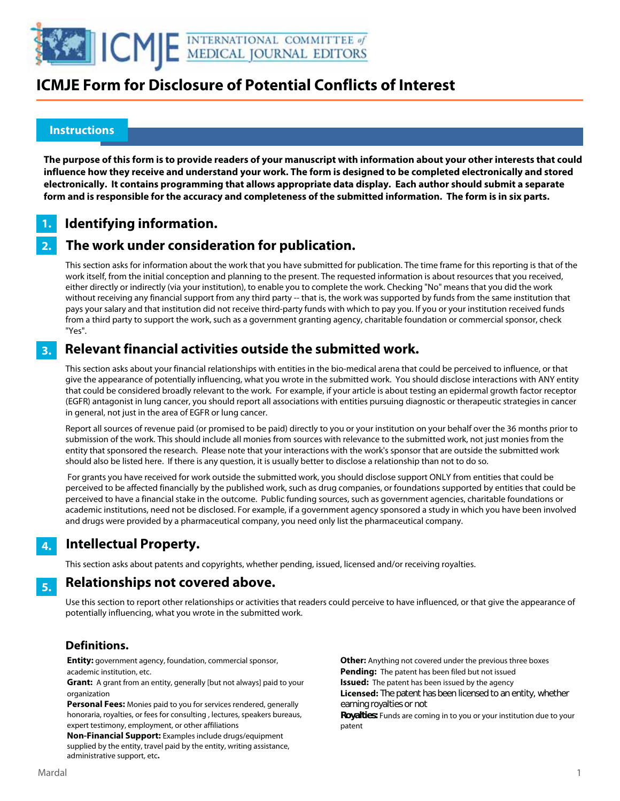

### **Instructions**

l

**The purpose of this form is to provide readers of your manuscript with information about your other interests that could influence how they receive and understand your work. The form is designed to be completed electronically and stored electronically. It contains programming that allows appropriate data display. Each author should submit a separate form and is responsible for the accuracy and completeness of the submitted information. The form is in six parts.** 

#### **Identifying information. 1.**

#### **The work under consideration for publication. 2.**

This section asks for information about the work that you have submitted for publication. The time frame for this reporting is that of the work itself, from the initial conception and planning to the present. The requested information is about resources that you received, either directly or indirectly (via your institution), to enable you to complete the work. Checking "No" means that you did the work without receiving any financial support from any third party -- that is, the work was supported by funds from the same institution that pays your salary and that institution did not receive third-party funds with which to pay you. If you or your institution received funds from a third party to support the work, such as a government granting agency, charitable foundation or commercial sponsor, check "Yes".

#### **Relevant financial activities outside the submitted work. 3.**

This section asks about your financial relationships with entities in the bio-medical arena that could be perceived to influence, or that give the appearance of potentially influencing, what you wrote in the submitted work. You should disclose interactions with ANY entity that could be considered broadly relevant to the work. For example, if your article is about testing an epidermal growth factor receptor (EGFR) antagonist in lung cancer, you should report all associations with entities pursuing diagnostic or therapeutic strategies in cancer in general, not just in the area of EGFR or lung cancer.

Report all sources of revenue paid (or promised to be paid) directly to you or your institution on your behalf over the 36 months prior to submission of the work. This should include all monies from sources with relevance to the submitted work, not just monies from the entity that sponsored the research. Please note that your interactions with the work's sponsor that are outside the submitted work should also be listed here. If there is any question, it is usually better to disclose a relationship than not to do so.

 For grants you have received for work outside the submitted work, you should disclose support ONLY from entities that could be perceived to be affected financially by the published work, such as drug companies, or foundations supported by entities that could be perceived to have a financial stake in the outcome. Public funding sources, such as government agencies, charitable foundations or academic institutions, need not be disclosed. For example, if a government agency sponsored a study in which you have been involved and drugs were provided by a pharmaceutical company, you need only list the pharmaceutical company.

### **Intellectual Property. 4.**

This section asks about patents and copyrights, whether pending, issued, licensed and/or receiving royalties.

#### **Relationships not covered above. 5.**

Use this section to report other relationships or activities that readers could perceive to have influenced, or that give the appearance of potentially influencing, what you wrote in the submitted work.

### **Definitions.**

**Entity:** government agency, foundation, commercial sponsor, academic institution, etc.

**Grant:** A grant from an entity, generally [but not always] paid to your organization

**Personal Fees:** Monies paid to you for services rendered, generally honoraria, royalties, or fees for consulting , lectures, speakers bureaus, expert testimony, employment, or other affiliations

**Non-Financial Support:** Examples include drugs/equipment supplied by the entity, travel paid by the entity, writing assistance, administrative support, etc**.**

**Other:** Anything not covered under the previous three boxes **Pending:** The patent has been filed but not issued **Issued:** The patent has been issued by the agency **Licensed:** The patent has been licensed to an entity, whether earning royalties or not **Royalties:** Funds are coming in to you or your institution due to your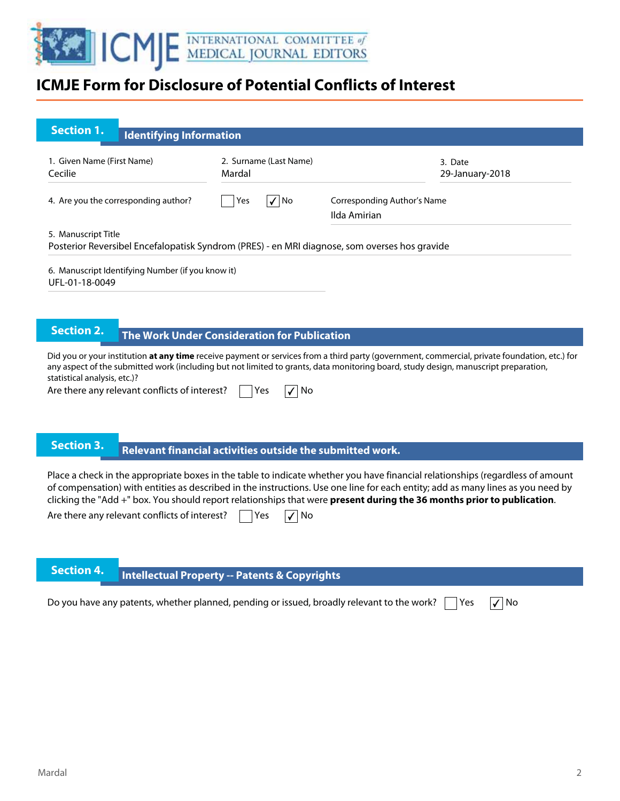

| <b>Section 1.</b>                     | <b>Identifying Information</b>                      |        |                        |                                                                                               |                            |
|---------------------------------------|-----------------------------------------------------|--------|------------------------|-----------------------------------------------------------------------------------------------|----------------------------|
|                                       |                                                     |        |                        |                                                                                               |                            |
| 1. Given Name (First Name)<br>Cecilie |                                                     | Mardal | 2. Surname (Last Name) |                                                                                               | 3. Date<br>29-January-2018 |
|                                       | 4. Are you the corresponding author?                | Yes    | $\sqrt{ N_{0} }$       | Corresponding Author's Name<br>Ilda Amirian                                                   |                            |
| 5. Manuscript Title                   |                                                     |        |                        | Posterior Reversibel Encefalopatisk Syndrom (PRES) - en MRI diagnose, som overses hos gravide |                            |
| UFL-01-18-0049                        | 6. Manuscript Identifying Number (if you know it)   |        |                        |                                                                                               |                            |
|                                       |                                                     |        |                        |                                                                                               |                            |
| <b>Section 2.</b>                     | <b>The Work Under Consideration for Publication</b> |        |                        |                                                                                               |                            |

Did you or your institution **at any time** receive payment or services from a third party (government, commercial, private foundation, etc.) for any aspect of the submitted work (including but not limited to grants, data monitoring board, study design, manuscript preparation, statistical analysis, etc.)?

| Are there any relevant conflicts of interest? | <b>Yes</b> |  | $\vert\bm\sqrt{}\vert$ No |
|-----------------------------------------------|------------|--|---------------------------|
|-----------------------------------------------|------------|--|---------------------------|

## **Relevant financial activities outside the submitted work. Section 3. Relevant financial activities outset**

Place a check in the appropriate boxes in the table to indicate whether you have financial relationships (regardless of amount of compensation) with entities as described in the instructions. Use one line for each entity; add as many lines as you need by clicking the "Add +" box. You should report relationships that were **present during the 36 months prior to publication**.

| Are there any relevant conflicts of interest? | <b>Yes</b> | $\sqrt{}$ No |
|-----------------------------------------------|------------|--------------|
|                                               |            |              |

# **Intellectual Property -- Patents & Copyrights**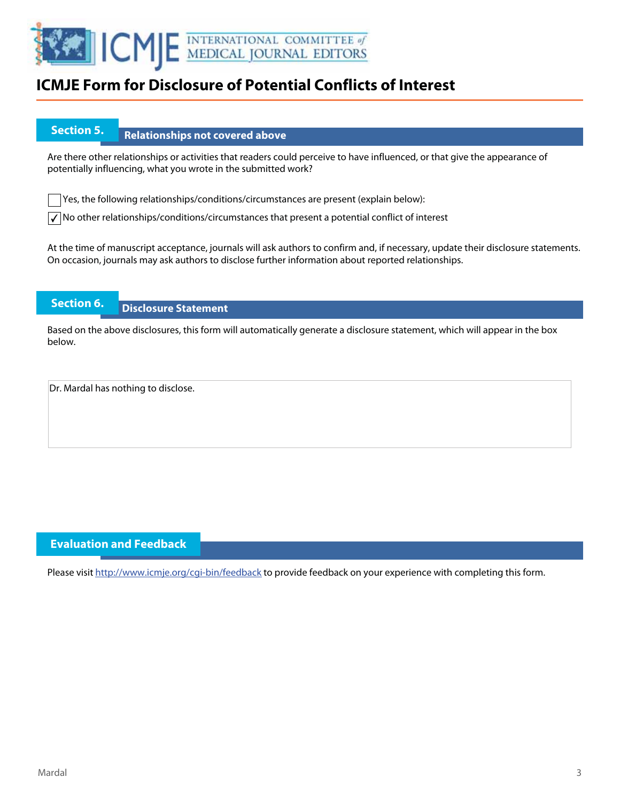

## **Section 5.** Relationships not covered above

Are there other relationships or activities that readers could perceive to have influenced, or that give the appearance of potentially influencing, what you wrote in the submitted work?

Yes, the following relationships/conditions/circumstances are present (explain below):

 $\sqrt{\ }$  No other relationships/conditions/circumstances that present a potential conflict of interest

At the time of manuscript acceptance, journals will ask authors to confirm and, if necessary, update their disclosure statements. On occasion, journals may ask authors to disclose further information about reported relationships.

### **Section 6. Disclosure Statement**

Based on the above disclosures, this form will automatically generate a disclosure statement, which will appear in the box below.

Dr. Mardal has nothing to disclose.

### **Evaluation and Feedback**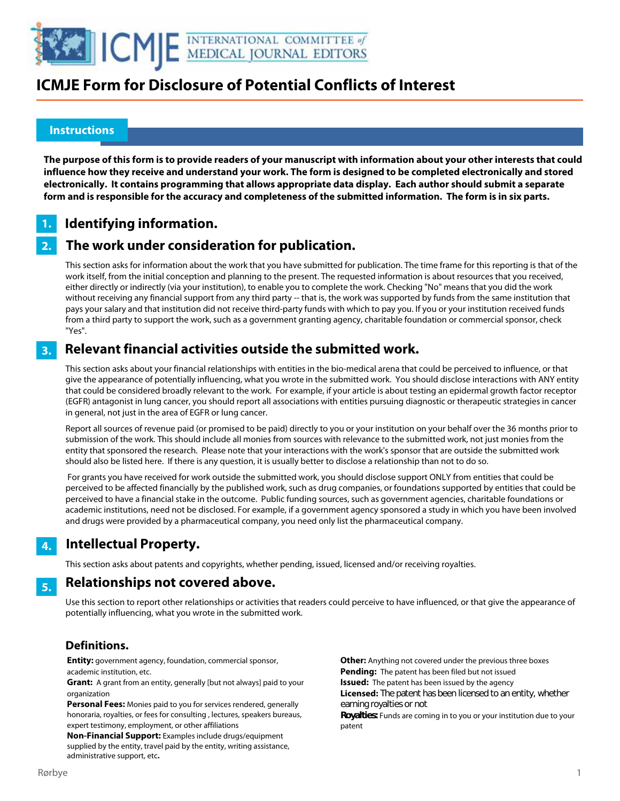

### **Instructions**

l

**The purpose of this form is to provide readers of your manuscript with information about your other interests that could influence how they receive and understand your work. The form is designed to be completed electronically and stored electronically. It contains programming that allows appropriate data display. Each author should submit a separate form and is responsible for the accuracy and completeness of the submitted information. The form is in six parts.** 

#### **Identifying information. 1.**

#### **The work under consideration for publication. 2.**

This section asks for information about the work that you have submitted for publication. The time frame for this reporting is that of the work itself, from the initial conception and planning to the present. The requested information is about resources that you received, either directly or indirectly (via your institution), to enable you to complete the work. Checking "No" means that you did the work without receiving any financial support from any third party -- that is, the work was supported by funds from the same institution that pays your salary and that institution did not receive third-party funds with which to pay you. If you or your institution received funds from a third party to support the work, such as a government granting agency, charitable foundation or commercial sponsor, check "Yes".

#### **Relevant financial activities outside the submitted work. 3.**

This section asks about your financial relationships with entities in the bio-medical arena that could be perceived to influence, or that give the appearance of potentially influencing, what you wrote in the submitted work. You should disclose interactions with ANY entity that could be considered broadly relevant to the work. For example, if your article is about testing an epidermal growth factor receptor (EGFR) antagonist in lung cancer, you should report all associations with entities pursuing diagnostic or therapeutic strategies in cancer in general, not just in the area of EGFR or lung cancer.

Report all sources of revenue paid (or promised to be paid) directly to you or your institution on your behalf over the 36 months prior to submission of the work. This should include all monies from sources with relevance to the submitted work, not just monies from the entity that sponsored the research. Please note that your interactions with the work's sponsor that are outside the submitted work should also be listed here. If there is any question, it is usually better to disclose a relationship than not to do so.

 For grants you have received for work outside the submitted work, you should disclose support ONLY from entities that could be perceived to be affected financially by the published work, such as drug companies, or foundations supported by entities that could be perceived to have a financial stake in the outcome. Public funding sources, such as government agencies, charitable foundations or academic institutions, need not be disclosed. For example, if a government agency sponsored a study in which you have been involved and drugs were provided by a pharmaceutical company, you need only list the pharmaceutical company.

#### **Intellectual Property. 4.**

This section asks about patents and copyrights, whether pending, issued, licensed and/or receiving royalties.

#### **Relationships not covered above. 5.**

Use this section to report other relationships or activities that readers could perceive to have influenced, or that give the appearance of potentially influencing, what you wrote in the submitted work.

### **Definitions.**

**Entity:** government agency, foundation, commercial sponsor, academic institution, etc.

**Grant:** A grant from an entity, generally [but not always] paid to your organization

**Personal Fees:** Monies paid to you for services rendered, generally honoraria, royalties, or fees for consulting , lectures, speakers bureaus, expert testimony, employment, or other affiliations

**Non-Financial Support:** Examples include drugs/equipment supplied by the entity, travel paid by the entity, writing assistance, administrative support, etc**.**

**Other:** Anything not covered under the previous three boxes **Pending:** The patent has been filed but not issued **Issued:** The patent has been issued by the agency **Licensed:** The patent has been licensed to an entity, whether earning royalties or not **Royalties:** Funds are coming in to you or your institution due to your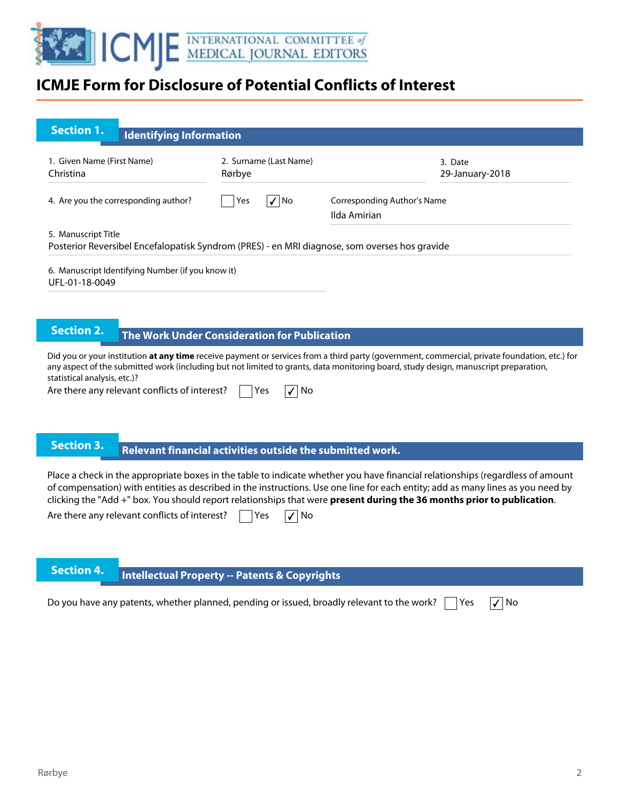

| <b>Section 1.</b><br><b>Identifying Information</b>                                                                  |                                              |                                             |
|----------------------------------------------------------------------------------------------------------------------|----------------------------------------------|---------------------------------------------|
| 1. Given Name (First Name)<br>Christina                                                                              | 2. Surname (Last Name)<br>Rørbye             | 3. Date<br>29-January-2018                  |
| 4. Are you the corresponding author?                                                                                 | $\sqrt{ NQ}$<br>Yes                          | Corresponding Author's Name<br>Ilda Amirian |
| 5. Manuscript Title<br>Posterior Reversibel Encefalopatisk Syndrom (PRES) - en MRI diagnose, som overses hos gravide |                                              |                                             |
| 6. Manuscript Identifying Number (if you know it)<br>UFL-01-18-0049                                                  |                                              |                                             |
|                                                                                                                      |                                              |                                             |
| <b>Section 2.</b>                                                                                                    | The Work Under Consideration for Publication |                                             |

Did you or your institution **at any time** receive payment or services from a third party (government, commercial, private foundation, etc.) for any aspect of the submitted work (including but not limited to grants, data monitoring board, study design, manuscript preparation, statistical analysis, etc.)?

| Are there any relevant conflicts of interest? | <b>Yes</b> |  | $\vert\bm\sqrt{}\vert$ No |
|-----------------------------------------------|------------|--|---------------------------|
|-----------------------------------------------|------------|--|---------------------------|

## **Relevant financial activities outside the submitted work. Section 3. Relevant financial activities outset**

Place a check in the appropriate boxes in the table to indicate whether you have financial relationships (regardless of amount of compensation) with entities as described in the instructions. Use one line for each entity; add as many lines as you need by clicking the "Add +" box. You should report relationships that were **present during the 36 months prior to publication**.

| Are there any relevant conflicts of interest? | <b>Yes</b> | $\sqrt{}$ No |
|-----------------------------------------------|------------|--------------|
|                                               |            |              |

# **Intellectual Property -- Patents & Copyrights**